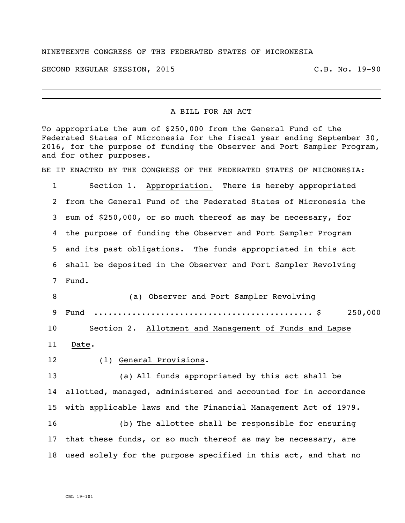## NINETEENTH CONGRESS OF THE FEDERATED STATES OF MICRONESIA

SECOND REGULAR SESSION, 2015 C.B. No. 19-90

## A BILL FOR AN ACT

To appropriate the sum of \$250,000 from the General Fund of the Federated States of Micronesia for the fiscal year ending September 30, 2016, for the purpose of funding the Observer and Port Sampler Program, and for other purposes.

BE IT ENACTED BY THE CONGRESS OF THE FEDERATED STATES OF MICRONESIA:

 Section 1. Appropriation. There is hereby appropriated from the General Fund of the Federated States of Micronesia the sum of \$250,000, or so much thereof as may be necessary, for the purpose of funding the Observer and Port Sampler Program and its past obligations. The funds appropriated in this act shall be deposited in the Observer and Port Sampler Revolving Fund.

 (a) Observer and Port Sampler Revolving Fund .............................................. \$ 250,000 Section 2. Allotment and Management of Funds and Lapse Date.

## (1) General Provisions.

 (a) All funds appropriated by this act shall be allotted, managed, administered and accounted for in accordance with applicable laws and the Financial Management Act of 1979. (b) The allottee shall be responsible for ensuring

 that these funds, or so much thereof as may be necessary, are used solely for the purpose specified in this act, and that no